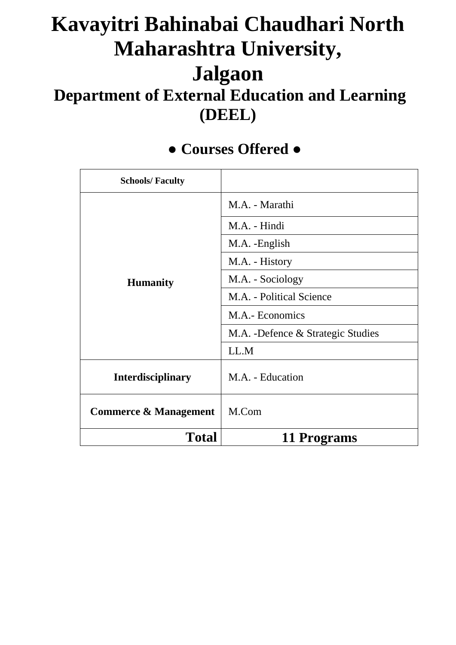# **Kavayitri Bahinabai Chaudhari North Maharashtra University, Jalgaon Department of External Education and Learning (DEEL)**

| <b>Schools/Faculty</b>           |                                   |
|----------------------------------|-----------------------------------|
|                                  | M.A. - Marathi                    |
|                                  | M.A. - Hindi                      |
| <b>Humanity</b>                  | M.A. - English                    |
|                                  | M.A. - History                    |
|                                  | M.A. - Sociology                  |
|                                  | M.A. - Political Science          |
|                                  | M.A.- Economics                   |
|                                  | M.A. -Defence & Strategic Studies |
|                                  | LL.M                              |
| <b>Interdisciplinary</b>         | M.A. - Education                  |
| <b>Commerce &amp; Management</b> | M.Com                             |
| <b>Total</b>                     | <b>11 Programs</b>                |

### **● Courses Offered ●**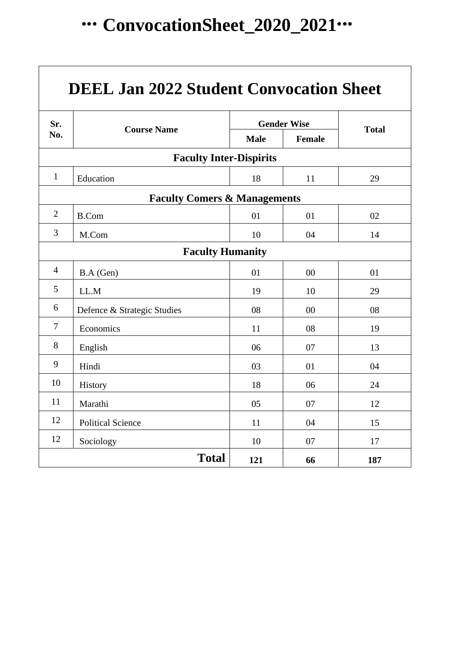# **∙∙∙ ConvocationSheet\_2020\_2021∙∙∙**

| <b>DEEL Jan 2022 Student Convocation Sheet</b> |                                |             |                    |              |  |  |  |  |  |  |  |  |
|------------------------------------------------|--------------------------------|-------------|--------------------|--------------|--|--|--|--|--|--|--|--|
| Sr.                                            | <b>Course Name</b>             |             | <b>Gender Wise</b> | <b>Total</b> |  |  |  |  |  |  |  |  |
| No.                                            |                                | <b>Male</b> | <b>Female</b>      |              |  |  |  |  |  |  |  |  |
|                                                | <b>Faculty Inter-Dispirits</b> |             |                    |              |  |  |  |  |  |  |  |  |
| $\mathbf{1}$                                   | Education                      | 18          | 11                 | 29           |  |  |  |  |  |  |  |  |
| <b>Faculty Comers &amp; Managements</b>        |                                |             |                    |              |  |  |  |  |  |  |  |  |
| $\overline{2}$                                 | <b>B.Com</b>                   | 01          | 01                 | 02           |  |  |  |  |  |  |  |  |
| 3                                              | M.Com                          | 10          | 04                 | 14           |  |  |  |  |  |  |  |  |
| <b>Faculty Humanity</b>                        |                                |             |                    |              |  |  |  |  |  |  |  |  |
| $\overline{4}$                                 | B.A (Gen)                      | 01          | 00                 | 01           |  |  |  |  |  |  |  |  |
| 5                                              | LL.M                           | 19          | 10                 | 29           |  |  |  |  |  |  |  |  |
| 6                                              | Defence & Strategic Studies    | 08          | 00                 | 08           |  |  |  |  |  |  |  |  |
| $\tau$                                         | Economics                      | 11          | 08                 | 19           |  |  |  |  |  |  |  |  |
| 8                                              | English                        | 06          | 07                 | 13           |  |  |  |  |  |  |  |  |
| 9                                              | Hindi                          | 03          | 01                 | 04           |  |  |  |  |  |  |  |  |
| 10                                             | History                        | 18          | 06                 | 24           |  |  |  |  |  |  |  |  |
| 11                                             | Marathi                        | 05          | 07                 | 12           |  |  |  |  |  |  |  |  |
| 12                                             | <b>Political Science</b>       | 11          | 04                 | 15           |  |  |  |  |  |  |  |  |
| 12                                             | Sociology                      | 10          | 07                 | 17           |  |  |  |  |  |  |  |  |
| <b>Total</b><br>121<br>187<br>66               |                                |             |                    |              |  |  |  |  |  |  |  |  |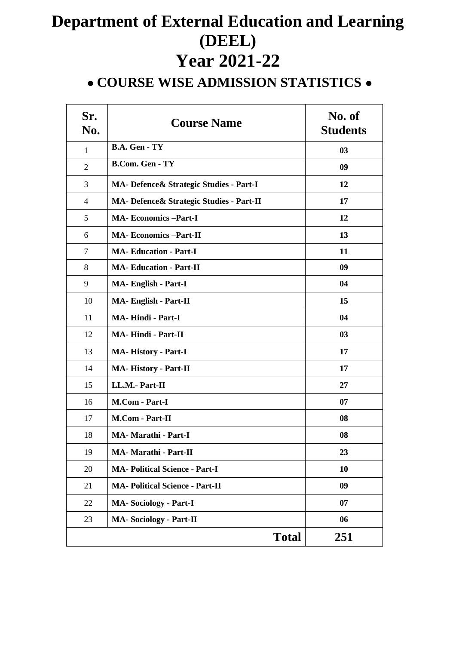## **Department of External Education and Learning (DEEL) Year 2021-22**

### **● COURSE WISE ADMISSION STATISTICS ●**

| Sr.<br>No.     | <b>Course Name</b>                        | No. of<br><b>Students</b> |
|----------------|-------------------------------------------|---------------------------|
| 1              | B.A. Gen - TY                             | 03                        |
| $\overline{2}$ | <b>B.Com. Gen - TY</b>                    | 09                        |
| 3              | MA- Defence & Strategic Studies - Part-I  | 12                        |
| $\overline{4}$ | MA- Defence & Strategic Studies - Part-II | 17                        |
| 5              | <b>MA-Economics-Part-I</b>                | 12                        |
| 6              | <b>MA-Economics-Part-II</b>               | 13                        |
| $\tau$         | <b>MA-Education - Part-I</b>              | 11                        |
| 8              | <b>MA-Education - Part-II</b>             | 09                        |
| 9              | <b>MA-English - Part-I</b>                | 04                        |
| 10             | <b>MA-English - Part-II</b>               | 15                        |
| 11             | <b>MA-Hindi - Part-I</b>                  | 04                        |
| 12             | <b>MA-Hindi - Part-II</b>                 | 03                        |
| 13             | <b>MA-History - Part-I</b>                | 17                        |
| 14             | <b>MA-History - Part-II</b>               | 17                        |
| 15             | LL.M.- Part-II                            | 27                        |
| 16             | M.Com - Part-I                            | 07                        |
| 17             | M.Com - Part-II                           | 08                        |
| 18             | <b>MA- Marathi - Part-I</b>               | 08                        |
| 19             | MA- Marathi - Part-II                     | 23                        |
| 20             | <b>MA- Political Science - Part-I</b>     | 10                        |
| 21             | <b>MA- Political Science - Part-II</b>    | 09                        |
| 22             | <b>MA-Sociology - Part-I</b>              | 07                        |
| 23             | <b>MA-Sociology - Part-II</b>             | 06                        |
|                | <b>Total</b>                              | 251                       |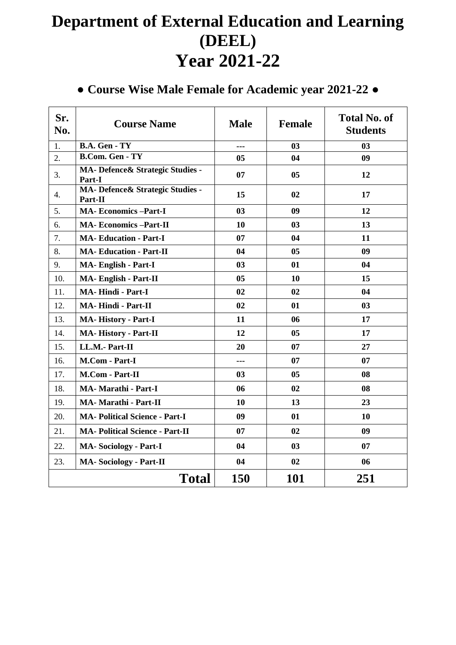## **Department of External Education and Learning (DEEL) Year 2021-22**

#### **● Course Wise Male Female for Academic year 2021-22 ●**

| Sr.<br>No. | <b>Course Name</b>                           | <b>Male</b>    | <b>Female</b>  | <b>Total No. of</b><br><b>Students</b> |  |  |  |  |  |  |
|------------|----------------------------------------------|----------------|----------------|----------------------------------------|--|--|--|--|--|--|
| 1.         | <b>B.A. Gen - TY</b>                         | ---            | 03             | 03                                     |  |  |  |  |  |  |
| 2.         | <b>B.Com. Gen - TY</b>                       | 05             | 04             | 09                                     |  |  |  |  |  |  |
| 3.         | MA- Defence & Strategic Studies -<br>Part-I  | 07             | 05             | 12                                     |  |  |  |  |  |  |
| 4.         | MA- Defence & Strategic Studies -<br>Part-II | 15             | 02             | 17                                     |  |  |  |  |  |  |
| 5.         | <b>MA-Economics-Part-I</b>                   | 0 <sub>3</sub> | 09             | 12                                     |  |  |  |  |  |  |
| 6.         | <b>MA-Economics-Part-II</b>                  | 10             | 03             | 13                                     |  |  |  |  |  |  |
| 7.         | <b>MA-Education - Part-I</b>                 | 07             | 04             | 11                                     |  |  |  |  |  |  |
| 8.         | <b>MA-Education - Part-II</b>                | 04             | 0 <sub>5</sub> | 09                                     |  |  |  |  |  |  |
| 9.         | <b>MA- English - Part-I</b>                  | 03             | 01             | 04                                     |  |  |  |  |  |  |
| 10.        | <b>MA-English - Part-II</b>                  | 05             | 10             | 15                                     |  |  |  |  |  |  |
| 11.        | <b>MA-Hindi - Part-I</b>                     | 02             | 02             | 04                                     |  |  |  |  |  |  |
| 12.        | <b>MA-Hindi - Part-II</b>                    | 02             | 01             | 03                                     |  |  |  |  |  |  |
| 13.        | <b>MA-History - Part-I</b>                   | 11             | 06             | 17                                     |  |  |  |  |  |  |
| 14.        | MA-History - Part-II                         | 12             | 0 <sub>5</sub> | 17                                     |  |  |  |  |  |  |
| 15.        | LL.M.- Part-II                               | 20             | 07             | 27                                     |  |  |  |  |  |  |
| 16.        | M.Com - Part-I                               | ---            | 07             | 07                                     |  |  |  |  |  |  |
| 17.        | M.Com - Part-II                              | 03             | 0 <sub>5</sub> | 08                                     |  |  |  |  |  |  |
| 18.        | <b>MA- Marathi - Part-I</b>                  | 06             | 02             | 08                                     |  |  |  |  |  |  |
| 19.        | MA- Marathi - Part-II                        | 10             | 13             | 23                                     |  |  |  |  |  |  |
| 20.        | <b>MA- Political Science - Part-I</b>        | 09             | 01             | 10                                     |  |  |  |  |  |  |
| 21.        | <b>MA- Political Science - Part-II</b>       | 07             | 02             | 09                                     |  |  |  |  |  |  |
| 22.        | <b>MA-Sociology - Part-I</b>                 | 04             | 0 <sub>3</sub> | 07                                     |  |  |  |  |  |  |
| 23.        | <b>MA-Sociology - Part-II</b>                | 04             | 02             | 06                                     |  |  |  |  |  |  |
|            | <b>Total</b>                                 | 150            | <b>101</b>     | 251                                    |  |  |  |  |  |  |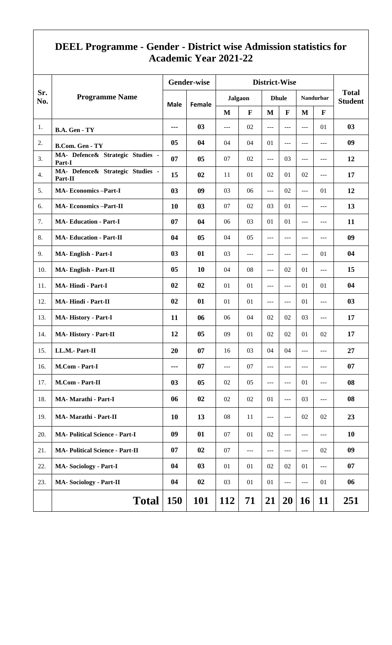#### **DEEL Programme - Gender - District wise Admission statistics for Academic Year 2021-22**

|            |                                             |                | <b>Gender-wise</b> |                |              |                |                             |                     |                  |                                |  |
|------------|---------------------------------------------|----------------|--------------------|----------------|--------------|----------------|-----------------------------|---------------------|------------------|--------------------------------|--|
| Sr.<br>No. | <b>Programme Name</b>                       |                |                    | <b>Jalgaon</b> |              | <b>Dhule</b>   |                             |                     | <b>Nandurbar</b> | <b>Total</b><br><b>Student</b> |  |
|            |                                             | <b>Male</b>    | Female             | M              | $\mathbf{F}$ | M              | $\mathbf{F}$                | $\mathbf{M}$        | $\mathbf{F}$     |                                |  |
| 1.         | B.A. Gen - TY                               | ---            | 03                 | $\frac{1}{2}$  | 02           | ---            | $---$                       | ---                 | 01               | 03                             |  |
| 2.         | <b>B.Com. Gen - TY</b>                      | 05             | 04                 | 04             | 04           | 01             | $---$                       | ---                 | $---$            | 09                             |  |
| 3.         | MA- Defence& Strategic Studies -<br>Part-I  | 07             | 05                 | 07             | 02           | $---$          | 03                          | $ -$                | $---$            | 12                             |  |
| 4.         | MA- Defence& Strategic Studies -<br>Part-II | 15             | 02                 | 11             | 01           | 02             | 01                          | 02                  | $---$            | 17                             |  |
| 5.         | <b>MA-Economics-Part-I</b>                  | 03             | 09                 | 03             | 06           | $---$          | 02                          | $\overline{a}$      | 01               | 12                             |  |
| 6.         | <b>MA-Economics-Part-II</b>                 | 10             | 03                 | 07             | 02           | 03             | 01                          | $ -$                | $---$            | 13                             |  |
| 7.         | <b>MA-Education - Part-I</b>                | 07             | 04                 | 06             | 03           | 01             | 01                          | ---                 | $---$            | 11                             |  |
| 8.         | <b>MA-Education - Part-II</b>               | 04             | 05                 | 04             | 05           | $\overline{a}$ | $---$<br>---<br>02<br>$---$ | $\qquad \qquad - -$ | $---$            | 09                             |  |
| 9.         | MA-English - Part-I                         | 03             | 01                 | 03             | ---          | ---            |                             | $---$               | 01               | 04                             |  |
| 10.        | MA-English - Part-II                        | 0 <sub>5</sub> | <b>10</b>          | 04             | 08           | $ -$           |                             | 01                  | $\overline{a}$   | 15                             |  |
| 11.        | <b>MA-Hindi - Part-I</b>                    | 02             | 02                 | 01             | 01           | ---            |                             | 01                  | 01               | 04                             |  |
| 12.        | <b>MA-Hindi - Part-II</b>                   | 02             | 01                 | 01             | 01           | ---            | $---$                       | 01                  | $\overline{a}$   | 03                             |  |
| 13.        | <b>MA-History - Part-I</b>                  | 11             | 06                 | 06             | 04           | 02             | 02                          | 03                  | $\overline{a}$   | 17                             |  |
| 14.        | MA-History - Part-II                        | 12             | 05                 | 09             | 01           | 02             | 02                          | 01                  | 02               | 17                             |  |
| 15.        | LL.M.- Part-II                              | 20             | 07                 | 16             | 03           | 04             | 04                          | $\qquad \qquad - -$ | $---$            | 27                             |  |
| 16.        | M.Com - Part-I                              | ---            | 07                 | $---$          | 07           | ---            | $- - -$                     | ---                 | $---$            | 07                             |  |
| 17.        | M.Com - Part-II                             | 03             | 05                 | 02             | 05           | $ -$           | $ -$                        | 01                  | $---$            | 08                             |  |
| 18.        | MA-Marathi - Part-I                         | 06             | 02                 | 02             | 02           | 01             | $ -$                        | 03                  | $---$            | 08                             |  |
| 19.        | MA- Marathi - Part-II                       | 10             | 13                 | 08             | 11           | $---$          | $---$                       | 02                  | 02               | 23                             |  |
| 20.        | <b>MA- Political Science - Part-I</b>       | 09             | 01                 | 07             | 01           | 02             | ---                         | $ -$                | $---$            | 10                             |  |
| 21.        | <b>MA- Political Science - Part-II</b>      | 07             | 02                 | 07             | ---          | ---            | $- - -$                     | $---$               | 02               | 09                             |  |
| 22.        | <b>MA-Sociology - Part-I</b>                | 04             | 03                 | 01             | 01           | 02             | 02                          | 01                  | $---$            | 07                             |  |
| 23.        | <b>MA-Sociology - Part-II</b>               | 04             | 02                 | 03             | 01           | 01             | $ -$                        | $\frac{1}{2}$       | 01               | 06                             |  |
|            | <b>Total</b>                                | <b>150</b>     | <b>101</b>         | <b>112</b>     | 71           | 21             | <b>20</b>                   | <b>16</b>           | <b>11</b>        | 251                            |  |